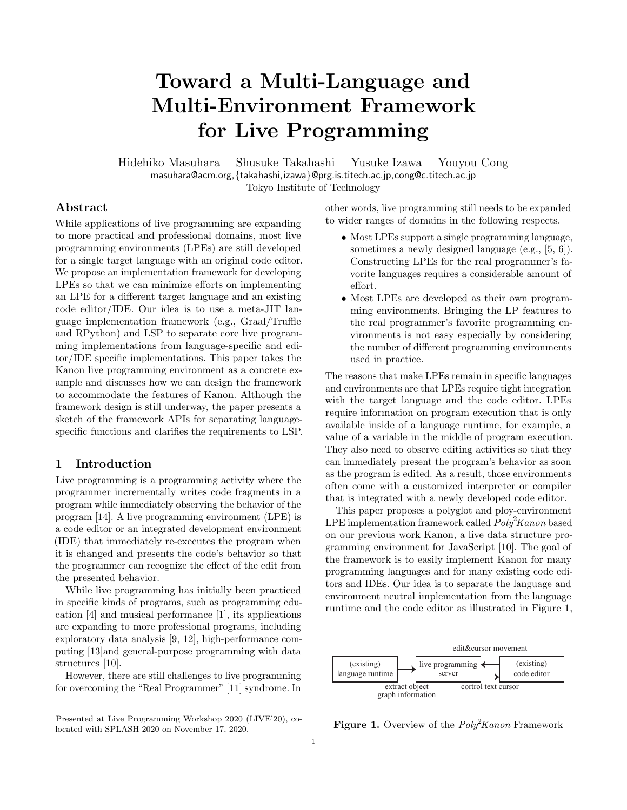# Toward a Multi-Language and Multi-Environment Framework for Live Programming

Hidehiko Masuhara Shusuke Takahashi Yusuke Izawa Youyou Cong masuhara@acm.org,{takahashi,izawa}@prg.is.titech.ac.jp,cong@c.titech.ac.jp Tokyo Institute of Technology

# Abstract

While applications of live programming are expanding to more practical and professional domains, most live programming environments (LPEs) are still developed for a single target language with an original code editor. We propose an implementation framework for developing LPEs so that we can minimize efforts on implementing an LPE for a different target language and an existing code editor/IDE. Our idea is to use a meta-JIT language implementation framework (e.g., Graal/Truffle and RPython) and LSP to separate core live programming implementations from language-specific and editor/IDE specific implementations. This paper takes the Kanon live programming environment as a concrete example and discusses how we can design the framework to accommodate the features of Kanon. Although the framework design is still underway, the paper presents a sketch of the framework APIs for separating languagespecific functions and clarifies the requirements to LSP.

# 1 Introduction

[L](#page-0-0)ive programming is a programming activity where the programmer incrementally writes code fragments in a program while immediately observing the behavior of the program [\[14\]](#page-4-0). A live programming environment (LPE) is a code editor or an integrated development environment (IDE) that immediately re-executes the program when it is changed and presents the code's behavior so that the programmer can recognize the effect of the edit from the presented behavior.

While live programming has initially been practiced in specific kinds of programs, such as programming education [\[4\]](#page-4-1) and musical performance [\[1\]](#page-4-2), its applications are expanding to more professional programs, including exploratory data analysis [\[9,](#page-4-3) [12\]](#page-4-4), high-performance computing [\[13\]](#page-4-5)and general-purpose programming with data structures [\[10\]](#page-4-6).

However, there are still challenges to live programming for overcoming the "Real Programmer" [\[11\]](#page-4-7) syndrome. In other words, live programming still needs to be expanded to wider ranges of domains in the following respects.

- ∙ Most LPEs support a single programming language, sometimes a newly designed language (e.g., [\[5,](#page-4-8) [6\]](#page-4-9)). Constructing LPEs for the real programmer's favorite languages requires a considerable amount of effort.
- ∙ Most LPEs are developed as their own programming environments. Bringing the LP features to the real programmer's favorite programming environments is not easy especially by considering the number of different programming environments used in practice.

The reasons that make LPEs remain in specific languages and environments are that LPEs require tight integration with the target language and the code editor. LPEs require information on program execution that is only available inside of a language runtime, for example, a value of a variable in the middle of program execution. They also need to observe editing activities so that they can immediately present the program's behavior as soon as the program is edited. As a result, those environments often come with a customized interpreter or compiler that is integrated with a newly developed code editor.

This paper proposes a polyglot and ploy-environment LPE implementation framework called  $Poly<sup>2</sup>Kanon$  based on our previous work Kanon, a live data structure programming environment for JavaScript [\[10\]](#page-4-6). The goal of the framework is to easily implement Kanon for many programming languages and for many existing code editors and IDEs. Our idea is to separate the language and environment neutral implementation from the language runtime and the code editor as illustrated in Figure [1,](#page-0-1)

<span id="page-0-1"></span>

**Figure 1.** Overview of the  $Poly<sup>2</sup>Kanon$  Framework

<span id="page-0-0"></span>Presented at Live Programming Workshop 2020 (LIVE'20), colocated with SPLASH 2020 on November 17, 2020.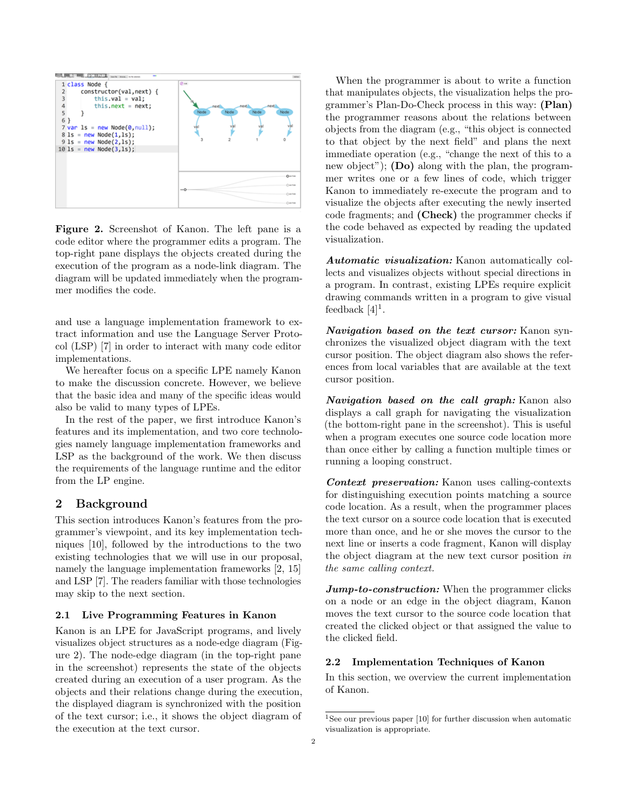<span id="page-1-0"></span>

Figure 2. Screenshot of Kanon. The left pane is a code editor where the programmer edits a program. The top-right pane displays the objects created during the execution of the program as a node-link diagram. The diagram will be updated immediately when the programmer modifies the code.

and use a language implementation framework to extract information and use the Language Server Protocol (LSP) [\[7\]](#page-4-10) in order to interact with many code editor implementations.

We hereafter focus on a specific LPE namely Kanon to make the discussion concrete. However, we believe that the basic idea and many of the specific ideas would also be valid to many types of LPEs.

In the rest of the paper, we first introduce Kanon's features and its implementation, and two core technologies namely language implementation frameworks and LSP as the background of the work. We then discuss the requirements of the language runtime and the editor from the LP engine.

# 2 Background

This section introduces Kanon's features from the programmer's viewpoint, and its key implementation techniques [\[10\]](#page-4-6), followed by the introductions to the two existing technologies that we will use in our proposal, namely the language implementation frameworks [\[2,](#page-4-11) [15\]](#page-4-12) and LSP [\[7\]](#page-4-10). The readers familiar with those technologies may skip to the next section.

### 2.1 Live Programming Features in Kanon

Kanon is an LPE for JavaScript programs, and lively visualizes object structures as a node-edge diagram (Figure [2\)](#page-1-0). The node-edge diagram (in the top-right pane in the screenshot) represents the state of the objects created during an execution of a user program. As the objects and their relations change during the execution, the displayed diagram is synchronized with the position of the text cursor; i.e., it shows the object diagram of the execution at the text cursor.

When the programmer is about to write a function that manipulates objects, the visualization helps the programmer's Plan-Do-Check process in this way: (Plan) the programmer reasons about the relations between objects from the diagram (e.g., "this object is connected to that object by the next field" and plans the next immediate operation (e.g., "change the next of this to a new object");  $(Do)$  along with the plan, the programmer writes one or a few lines of code, which trigger Kanon to immediately re-execute the program and to visualize the objects after executing the newly inserted code fragments; and (Check) the programmer checks if the code behaved as expected by reading the updated visualization.

Automatic visualization: Kanon automatically collects and visualizes objects without special directions in a program. In contrast, existing LPEs require explicit drawing commands written in a program to give visual feedback  $[4]$ <sup>[1](#page-1-1)</sup>.

Navigation based on the text cursor: Kanon synchronizes the visualized object diagram with the text cursor position. The object diagram also shows the references from local variables that are available at the text cursor position.

Navigation based on the call graph: Kanon also displays a call graph for navigating the visualization (the bottom-right pane in the screenshot). This is useful when a program executes one source code location more than once either by calling a function multiple times or running a looping construct.

Context preservation: Kanon uses calling-contexts for distinguishing execution points matching a source code location. As a result, when the programmer places the text cursor on a source code location that is executed more than once, and he or she moves the cursor to the next line or inserts a code fragment, Kanon will display the object diagram at the new text cursor position in the same calling context.

**Jump-to-construction:** When the programmer clicks on a node or an edge in the object diagram, Kanon moves the text cursor to the source code location that created the clicked object or that assigned the value to the clicked field.

#### 2.2 Implementation Techniques of Kanon

In this section, we overview the current implementation of Kanon.

<span id="page-1-1"></span><sup>&</sup>lt;sup>1</sup>See our previous paper [\[10\]](#page-4-6) for further discussion when automatic visualization is appropriate.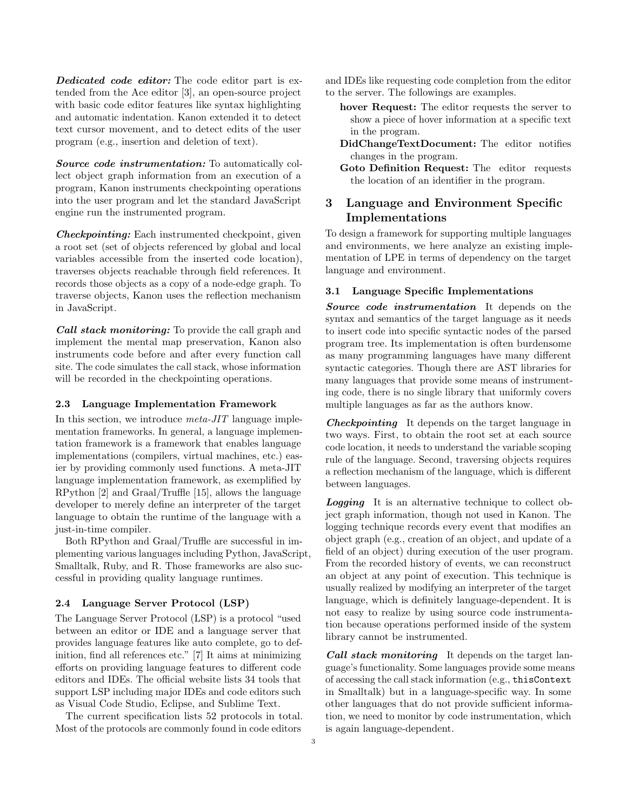**Dedicated code editor:** The code editor part is extended from the Ace editor [\[3\]](#page-4-13), an open-source project with basic code editor features like syntax highlighting and automatic indentation. Kanon extended it to detect text cursor movement, and to detect edits of the user program (e.g., insertion and deletion of text).

Source code instrumentation: To automatically collect object graph information from an execution of a program, Kanon instruments checkpointing operations into the user program and let the standard JavaScript engine run the instrumented program.

Checkpointing: Each instrumented checkpoint, given a root set (set of objects referenced by global and local variables accessible from the inserted code location), traverses objects reachable through field references. It records those objects as a copy of a node-edge graph. To traverse objects, Kanon uses the reflection mechanism in JavaScript.

Call stack monitoring: To provide the call graph and implement the mental map preservation, Kanon also instruments code before and after every function call site. The code simulates the call stack, whose information will be recorded in the checkpointing operations.

#### 2.3 Language Implementation Framework

In this section, we introduce  $meta-JIT$  language implementation frameworks. In general, a language implementation framework is a framework that enables language implementations (compilers, virtual machines, etc.) easier by providing commonly used functions. A meta-JIT language implementation framework, as exemplified by RPython [\[2\]](#page-4-11) and Graal/Truffle [\[15\]](#page-4-12), allows the language developer to merely define an interpreter of the target language to obtain the runtime of the language with a just-in-time compiler.

Both RPython and Graal/Truffle are successful in implementing various languages including Python, JavaScript, Smalltalk, Ruby, and R. Those frameworks are also successful in providing quality language runtimes.

#### 2.4 Language Server Protocol (LSP)

The Language Server Protocol (LSP) is a protocol "used between an editor or IDE and a language server that provides language features like auto complete, go to definition, find all references etc." [\[7\]](#page-4-10) It aims at minimizing efforts on providing language features to different code editors and IDEs. The official website lists 34 tools that support LSP including major IDEs and code editors such as Visual Code Studio, Eclipse, and Sublime Text.

The current specification lists 52 protocols in total. Most of the protocols are commonly found in code editors

and IDEs like requesting code completion from the editor to the server. The followings are examples.

- hover Request: The editor requests the server to show a piece of hover information at a specific text in the program.
- DidChangeTextDocument: The editor notifies changes in the program.
- Goto Definition Request: The editor requests the location of an identifier in the program.

# 3 Language and Environment Specific Implementations

To design a framework for supporting multiple languages and environments, we here analyze an existing implementation of LPE in terms of dependency on the target language and environment.

#### 3.1 Language Specific Implementations

Source code instrumentation It depends on the syntax and semantics of the target language as it needs to insert code into specific syntactic nodes of the parsed program tree. Its implementation is often burdensome as many programming languages have many different syntactic categories. Though there are AST libraries for many languages that provide some means of instrumenting code, there is no single library that uniformly covers multiple languages as far as the authors know.

Checkpointing It depends on the target language in two ways. First, to obtain the root set at each source code location, it needs to understand the variable scoping rule of the language. Second, traversing objects requires a reflection mechanism of the language, which is different between languages.

**Logging** It is an alternative technique to collect object graph information, though not used in Kanon. The logging technique records every event that modifies an object graph (e.g., creation of an object, and update of a field of an object) during execution of the user program. From the recorded history of events, we can reconstruct an object at any point of execution. This technique is usually realized by modifying an interpreter of the target language, which is definitely language-dependent. It is not easy to realize by using source code instrumentation because operations performed inside of the system library cannot be instrumented.

Call stack monitoring It depends on the target language's functionality. Some languages provide some means of accessing the call stack information (e.g., thisContext in Smalltalk) but in a language-specific way. In some other languages that do not provide sufficient information, we need to monitor by code instrumentation, which is again language-dependent.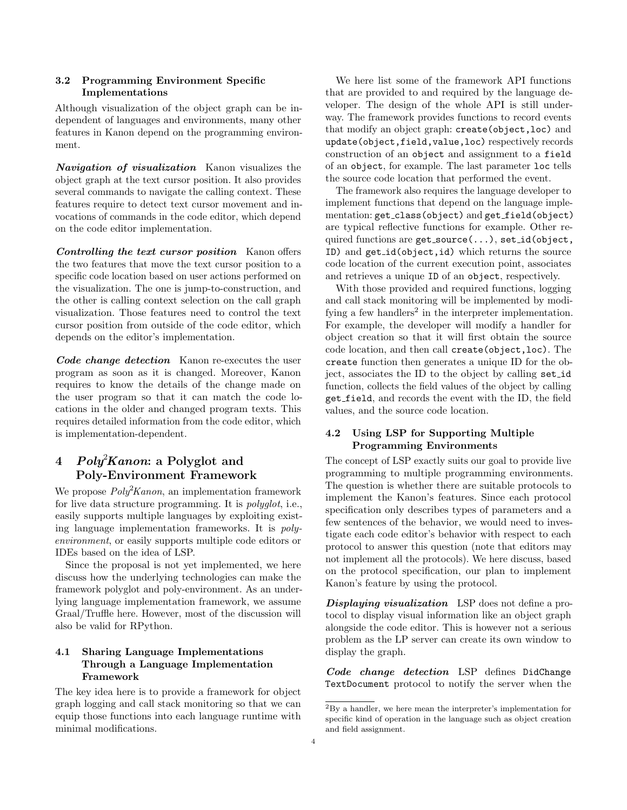# 3.2 Programming Environment Specific Implementations

Although visualization of the object graph can be independent of languages and environments, many other features in Kanon depend on the programming environment.

Navigation of visualization Kanon visualizes the object graph at the text cursor position. It also provides several commands to navigate the calling context. These features require to detect text cursor movement and invocations of commands in the code editor, which depend on the code editor implementation.

Controlling the text cursor position Kanon offers the two features that move the text cursor position to a specific code location based on user actions performed on the visualization. The one is jump-to-construction, and the other is calling context selection on the call graph visualization. Those features need to control the text cursor position from outside of the code editor, which depends on the editor's implementation.

Code change detection Kanon re-executes the user program as soon as it is changed. Moreover, Kanon requires to know the details of the change made on the user program so that it can match the code locations in the older and changed program texts. This requires detailed information from the code editor, which is implementation-dependent.

# 4 Poly<sup>2</sup>Kanon: a Polyglot and Poly-Environment Framework

We propose  $Poly<sup>2</sup>Kanon$ , an implementation framework for live data structure programming. It is polyglot, i.e., easily supports multiple languages by exploiting existing language implementation frameworks. It is polyenvironment, or easily supports multiple code editors or IDEs based on the idea of LSP.

Since the proposal is not yet implemented, we here discuss how the underlying technologies can make the framework polyglot and poly-environment. As an underlying language implementation framework, we assume Graal/Truffle here. However, most of the discussion will also be valid for RPython.

# 4.1 Sharing Language Implementations Through a Language Implementation Framework

The key idea here is to provide a framework for object graph logging and call stack monitoring so that we can equip those functions into each language runtime with minimal modifications.

We here list some of the framework API functions that are provided to and required by the language developer. The design of the whole API is still underway. The framework provides functions to record events that modify an object graph: create(object,loc) and update(object,field,value,loc) respectively records construction of an object and assignment to a field of an object, for example. The last parameter loc tells the source code location that performed the event.

The framework also requires the language developer to implement functions that depend on the language implementation: get\_class(object) and get\_field(object) are typical reflective functions for example. Other required functions are get\_source(...), set\_id(object, ID) and get id(object,id) which returns the source code location of the current execution point, associates and retrieves a unique ID of an object, respectively.

With those provided and required functions, logging and call stack monitoring will be implemented by modi-fying a few handlers<sup>[2](#page-3-0)</sup> in the interpreter implementation. For example, the developer will modify a handler for object creation so that it will first obtain the source code location, and then call create(object,loc). The create function then generates a unique ID for the object, associates the ID to the object by calling set id function, collects the field values of the object by calling get field, and records the event with the ID, the field values, and the source code location.

# 4.2 Using LSP for Supporting Multiple Programming Environments

The concept of LSP exactly suits our goal to provide live programming to multiple programming environments. The question is whether there are suitable protocols to implement the Kanon's features. Since each protocol specification only describes types of parameters and a few sentences of the behavior, we would need to investigate each code editor's behavior with respect to each protocol to answer this question (note that editors may not implement all the protocols). We here discuss, based on the protocol specification, our plan to implement Kanon's feature by using the protocol.

**Displaying visualization** LSP does not define a protocol to display visual information like an object graph alongside the code editor. This is however not a serious problem as the LP server can create its own window to display the graph.

Code change detection LSP defines DidChange TextDocument protocol to notify the server when the

<span id="page-3-0"></span> ${\rm ^2By}$  a handler, we here mean the interpreter's implementation for specific kind of operation in the language such as object creation and field assignment.